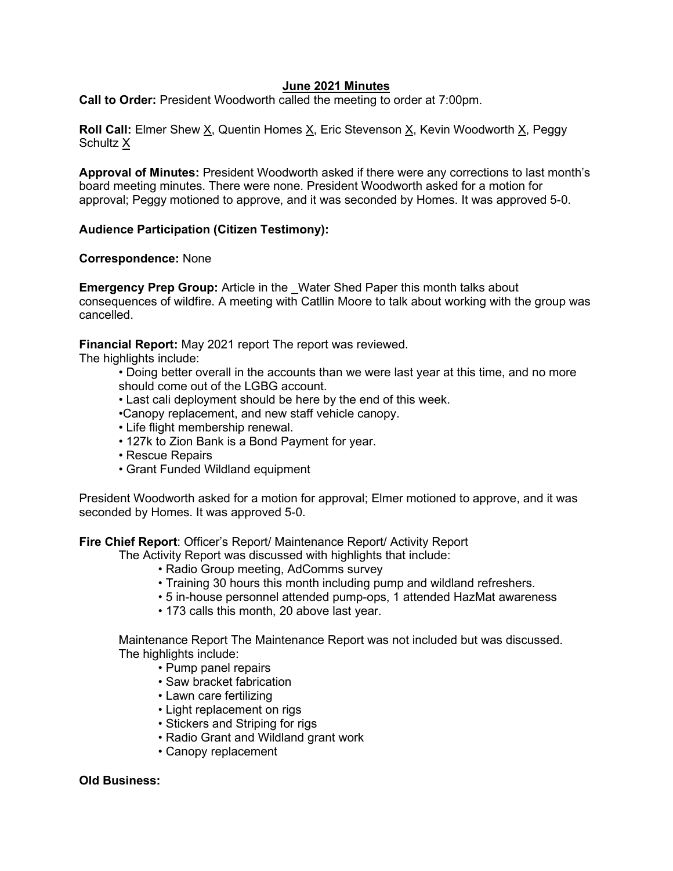### **June 2021 Minutes**

**Call to Order:** President Woodworth called the meeting to order at 7:00pm.

**Roll Call:** Elmer Shew X, Quentin Homes X, Eric Stevenson X, Kevin Woodworth X, Peggy Schultz X

**Approval of Minutes:** President Woodworth asked if there were any corrections to last month's board meeting minutes. There were none. President Woodworth asked for a motion for approval; Peggy motioned to approve, and it was seconded by Homes. It was approved 5-0.

# **Audience Participation (Citizen Testimony):**

### **Correspondence:** None

**Emergency Prep Group:** Article in the \_Water Shed Paper this month talks about consequences of wildfire. A meeting with Catllin Moore to talk about working with the group was cancelled.

**Financial Report:** May 2021 report The report was reviewed.

The highlights include:

• Doing better overall in the accounts than we were last year at this time, and no more should come out of the LGBG account.

- Last cali deployment should be here by the end of this week.
- •Canopy replacement, and new staff vehicle canopy.
- Life flight membership renewal.
- 127k to Zion Bank is a Bond Payment for year.
- Rescue Repairs
- Grant Funded Wildland equipment

President Woodworth asked for a motion for approval; Elmer motioned to approve, and it was seconded by Homes. It was approved 5-0.

**Fire Chief Report**: Officer's Report/ Maintenance Report/ Activity Report

The Activity Report was discussed with highlights that include:

- Radio Group meeting, AdComms survey
- Training 30 hours this month including pump and wildland refreshers.
- 5 in-house personnel attended pump-ops, 1 attended HazMat awareness
- 173 calls this month, 20 above last year.

Maintenance Report The Maintenance Report was not included but was discussed. The highlights include:

- Pump panel repairs
- Saw bracket fabrication
- Lawn care fertilizing
- Light replacement on rigs
- Stickers and Striping for rigs
- Radio Grant and Wildland grant work
- Canopy replacement

### **Old Business:**